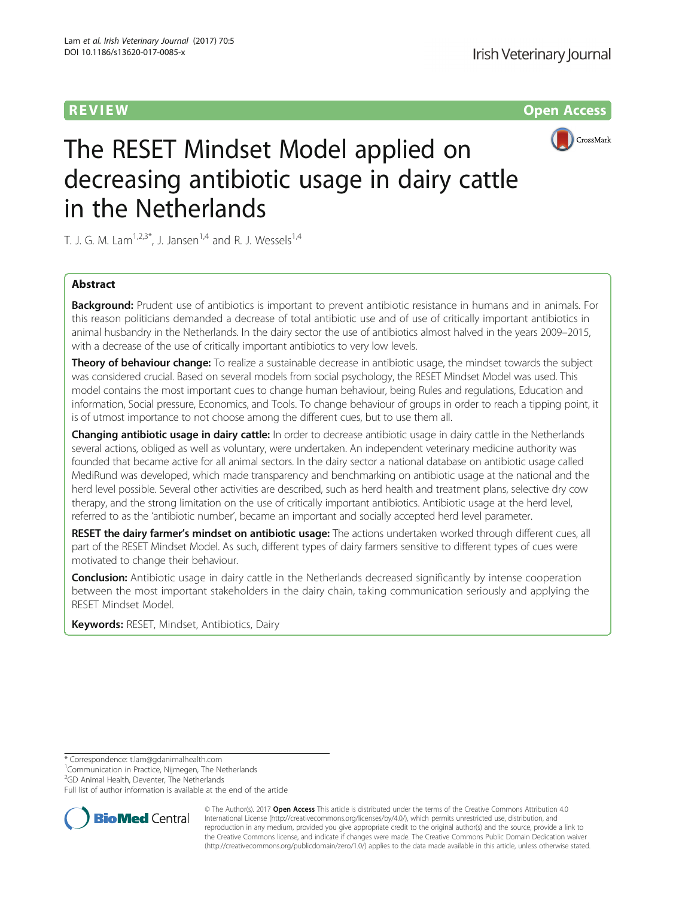**REVIEW CONSTRUCTION CONSTRUCTION CONSTRUCTS** 



# The RESET Mindset Model applied on decreasing antibiotic usage in dairy cattle in the Netherlands

T. J. G. M. Lam<sup>1,2,3\*</sup>, J. Jansen<sup>1,4</sup> and R. J. Wessels<sup>1,4</sup>

# Abstract

**Background:** Prudent use of antibiotics is important to prevent antibiotic resistance in humans and in animals. For this reason politicians demanded a decrease of total antibiotic use and of use of critically important antibiotics in animal husbandry in the Netherlands. In the dairy sector the use of antibiotics almost halved in the years 2009–2015, with a decrease of the use of critically important antibiotics to very low levels.

Theory of behaviour change: To realize a sustainable decrease in antibiotic usage, the mindset towards the subject was considered crucial. Based on several models from social psychology, the RESET Mindset Model was used. This model contains the most important cues to change human behaviour, being Rules and regulations, Education and information, Social pressure, Economics, and Tools. To change behaviour of groups in order to reach a tipping point, it is of utmost importance to not choose among the different cues, but to use them all.

Changing antibiotic usage in dairy cattle: In order to decrease antibiotic usage in dairy cattle in the Netherlands several actions, obliged as well as voluntary, were undertaken. An independent veterinary medicine authority was founded that became active for all animal sectors. In the dairy sector a national database on antibiotic usage called MediRund was developed, which made transparency and benchmarking on antibiotic usage at the national and the herd level possible. Several other activities are described, such as herd health and treatment plans, selective dry cow therapy, and the strong limitation on the use of critically important antibiotics. Antibiotic usage at the herd level, referred to as the 'antibiotic number', became an important and socially accepted herd level parameter.

RESET the dairy farmer's mindset on antibiotic usage: The actions undertaken worked through different cues, all part of the RESET Mindset Model. As such, different types of dairy farmers sensitive to different types of cues were motivated to change their behaviour.

**Conclusion:** Antibiotic usage in dairy cattle in the Netherlands decreased significantly by intense cooperation between the most important stakeholders in the dairy chain, taking communication seriously and applying the RESET Mindset Model.

Keywords: RESET, Mindset, Antibiotics, Dairy

\* Correspondence: [t.lam@gdanimalhealth.com](mailto:t.lam@gdanimalhealth.com) <sup>1</sup>

<sup>1</sup> Communication in Practice, Nijmegen, The Netherlands

<sup>2</sup>GD Animal Health, Deventer, The Netherlands

Full list of author information is available at the end of the article



© The Author(s). 2017 **Open Access** This article is distributed under the terms of the Creative Commons Attribution 4.0 International License [\(http://creativecommons.org/licenses/by/4.0/](http://creativecommons.org/licenses/by/4.0/)), which permits unrestricted use, distribution, and reproduction in any medium, provided you give appropriate credit to the original author(s) and the source, provide a link to the Creative Commons license, and indicate if changes were made. The Creative Commons Public Domain Dedication waiver [\(http://creativecommons.org/publicdomain/zero/1.0/](http://creativecommons.org/publicdomain/zero/1.0/)) applies to the data made available in this article, unless otherwise stated.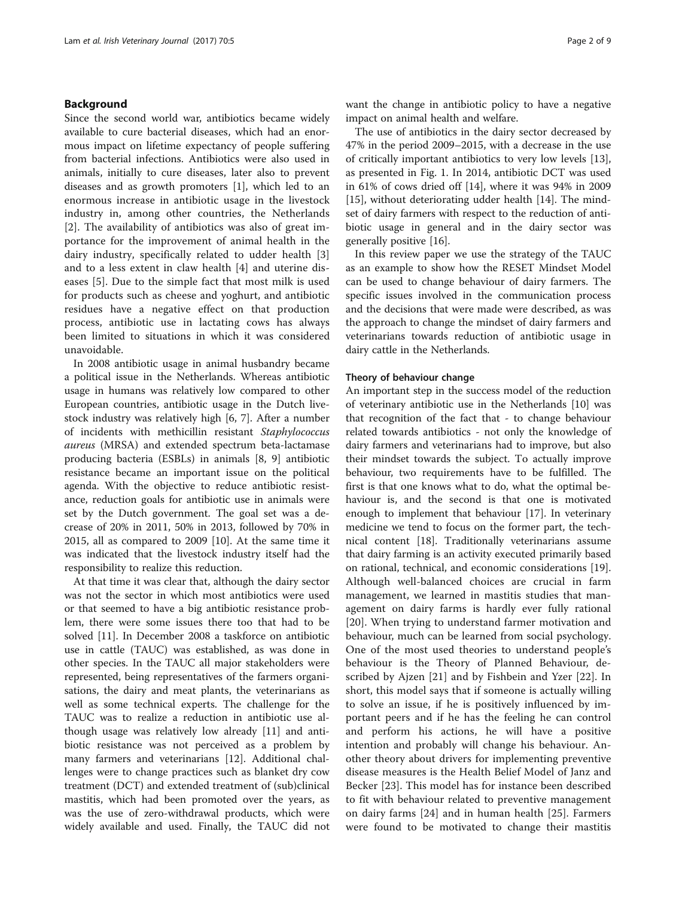# Background

Since the second world war, antibiotics became widely available to cure bacterial diseases, which had an enormous impact on lifetime expectancy of people suffering from bacterial infections. Antibiotics were also used in animals, initially to cure diseases, later also to prevent diseases and as growth promoters [\[1](#page-7-0)], which led to an enormous increase in antibiotic usage in the livestock industry in, among other countries, the Netherlands [[2\]](#page-7-0). The availability of antibiotics was also of great importance for the improvement of animal health in the dairy industry, specifically related to udder health [\[3](#page-7-0)] and to a less extent in claw health [[4\]](#page-7-0) and uterine diseases [[5\]](#page-7-0). Due to the simple fact that most milk is used for products such as cheese and yoghurt, and antibiotic residues have a negative effect on that production process, antibiotic use in lactating cows has always been limited to situations in which it was considered unavoidable.

In 2008 antibiotic usage in animal husbandry became a political issue in the Netherlands. Whereas antibiotic usage in humans was relatively low compared to other European countries, antibiotic usage in the Dutch livestock industry was relatively high [[6, 7](#page-7-0)]. After a number of incidents with methicillin resistant Staphylococcus aureus (MRSA) and extended spectrum beta-lactamase producing bacteria (ESBLs) in animals [[8, 9](#page-7-0)] antibiotic resistance became an important issue on the political agenda. With the objective to reduce antibiotic resistance, reduction goals for antibiotic use in animals were set by the Dutch government. The goal set was a decrease of 20% in 2011, 50% in 2013, followed by 70% in 2015, all as compared to 2009 [[10](#page-7-0)]. At the same time it was indicated that the livestock industry itself had the responsibility to realize this reduction.

At that time it was clear that, although the dairy sector was not the sector in which most antibiotics were used or that seemed to have a big antibiotic resistance problem, there were some issues there too that had to be solved [\[11\]](#page-7-0). In December 2008 a taskforce on antibiotic use in cattle (TAUC) was established, as was done in other species. In the TAUC all major stakeholders were represented, being representatives of the farmers organisations, the dairy and meat plants, the veterinarians as well as some technical experts. The challenge for the TAUC was to realize a reduction in antibiotic use although usage was relatively low already [\[11](#page-7-0)] and antibiotic resistance was not perceived as a problem by many farmers and veterinarians [[12](#page-7-0)]. Additional challenges were to change practices such as blanket dry cow treatment (DCT) and extended treatment of (sub)clinical mastitis, which had been promoted over the years, as was the use of zero-withdrawal products, which were widely available and used. Finally, the TAUC did not want the change in antibiotic policy to have a negative impact on animal health and welfare.

The use of antibiotics in the dairy sector decreased by 47% in the period 2009–2015, with a decrease in the use of critically important antibiotics to very low levels [\[13](#page-7-0)], as presented in Fig. [1](#page-2-0). In 2014, antibiotic DCT was used in 61% of cows dried off [\[14\]](#page-7-0), where it was 94% in 2009 [[15\]](#page-7-0), without deteriorating udder health [[14\]](#page-7-0). The mindset of dairy farmers with respect to the reduction of antibiotic usage in general and in the dairy sector was generally positive [[16](#page-7-0)].

In this review paper we use the strategy of the TAUC as an example to show how the RESET Mindset Model can be used to change behaviour of dairy farmers. The specific issues involved in the communication process and the decisions that were made were described, as was the approach to change the mindset of dairy farmers and veterinarians towards reduction of antibiotic usage in dairy cattle in the Netherlands.

# Theory of behaviour change

An important step in the success model of the reduction of veterinary antibiotic use in the Netherlands [[10](#page-7-0)] was that recognition of the fact that - to change behaviour related towards antibiotics - not only the knowledge of dairy farmers and veterinarians had to improve, but also their mindset towards the subject. To actually improve behaviour, two requirements have to be fulfilled. The first is that one knows what to do, what the optimal behaviour is, and the second is that one is motivated enough to implement that behaviour [\[17](#page-7-0)]. In veterinary medicine we tend to focus on the former part, the technical content [\[18](#page-7-0)]. Traditionally veterinarians assume that dairy farming is an activity executed primarily based on rational, technical, and economic considerations [\[19](#page-7-0)]. Although well-balanced choices are crucial in farm management, we learned in mastitis studies that management on dairy farms is hardly ever fully rational [[20\]](#page-7-0). When trying to understand farmer motivation and behaviour, much can be learned from social psychology. One of the most used theories to understand people's behaviour is the Theory of Planned Behaviour, described by Ajzen [[21](#page-7-0)] and by Fishbein and Yzer [[22\]](#page-7-0). In short, this model says that if someone is actually willing to solve an issue, if he is positively influenced by important peers and if he has the feeling he can control and perform his actions, he will have a positive intention and probably will change his behaviour. Another theory about drivers for implementing preventive disease measures is the Health Belief Model of Janz and Becker [\[23](#page-7-0)]. This model has for instance been described to fit with behaviour related to preventive management on dairy farms [\[24](#page-7-0)] and in human health [[25\]](#page-7-0). Farmers were found to be motivated to change their mastitis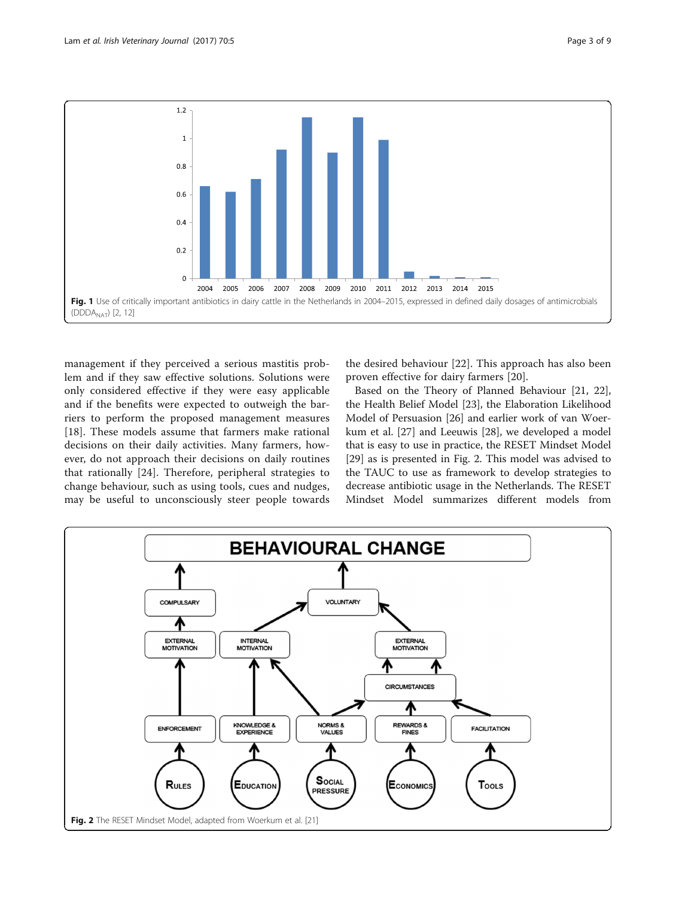<span id="page-2-0"></span>

management if they perceived a serious mastitis problem and if they saw effective solutions. Solutions were only considered effective if they were easy applicable and if the benefits were expected to outweigh the barriers to perform the proposed management measures [[18\]](#page-7-0). These models assume that farmers make rational decisions on their daily activities. Many farmers, however, do not approach their decisions on daily routines that rationally [\[24](#page-7-0)]. Therefore, peripheral strategies to change behaviour, such as using tools, cues and nudges, may be useful to unconsciously steer people towards

the desired behaviour [\[22](#page-7-0)]. This approach has also been proven effective for dairy farmers [\[20](#page-7-0)].

Based on the Theory of Planned Behaviour [[21, 22](#page-7-0)], the Health Belief Model [\[23](#page-7-0)], the Elaboration Likelihood Model of Persuasion [[26\]](#page-7-0) and earlier work of van Woerkum et al. [\[27](#page-7-0)] and Leeuwis [[28](#page-7-0)], we developed a model that is easy to use in practice, the RESET Mindset Model [[29\]](#page-7-0) as is presented in Fig. 2. This model was advised to the TAUC to use as framework to develop strategies to decrease antibiotic usage in the Netherlands. The RESET Mindset Model summarizes different models from

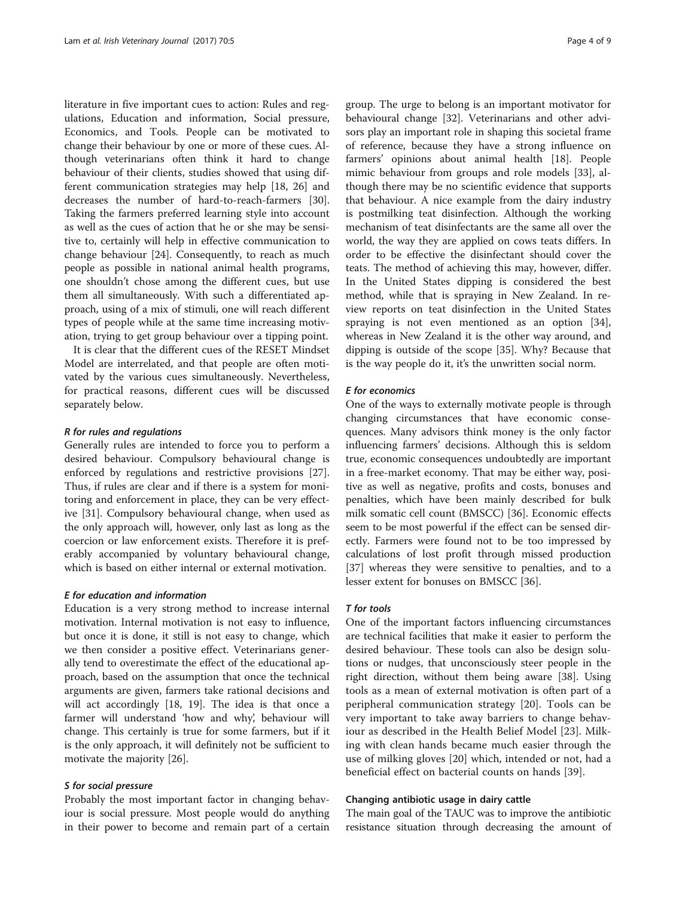literature in five important cues to action: Rules and regulations, Education and information, Social pressure, Economics, and Tools. People can be motivated to change their behaviour by one or more of these cues. Although veterinarians often think it hard to change behaviour of their clients, studies showed that using different communication strategies may help [[18, 26\]](#page-7-0) and decreases the number of hard-to-reach-farmers [\[30](#page-7-0)]. Taking the farmers preferred learning style into account as well as the cues of action that he or she may be sensitive to, certainly will help in effective communication to change behaviour [\[24](#page-7-0)]. Consequently, to reach as much people as possible in national animal health programs, one shouldn't chose among the different cues, but use them all simultaneously. With such a differentiated approach, using of a mix of stimuli, one will reach different types of people while at the same time increasing motivation, trying to get group behaviour over a tipping point.

It is clear that the different cues of the RESET Mindset Model are interrelated, and that people are often motivated by the various cues simultaneously. Nevertheless, for practical reasons, different cues will be discussed separately below.

# R for rules and regulations

Generally rules are intended to force you to perform a desired behaviour. Compulsory behavioural change is enforced by regulations and restrictive provisions [\[27](#page-7-0)]. Thus, if rules are clear and if there is a system for monitoring and enforcement in place, they can be very effective [\[31\]](#page-7-0). Compulsory behavioural change, when used as the only approach will, however, only last as long as the coercion or law enforcement exists. Therefore it is preferably accompanied by voluntary behavioural change, which is based on either internal or external motivation.

# E for education and information

Education is a very strong method to increase internal motivation. Internal motivation is not easy to influence, but once it is done, it still is not easy to change, which we then consider a positive effect. Veterinarians generally tend to overestimate the effect of the educational approach, based on the assumption that once the technical arguments are given, farmers take rational decisions and will act accordingly [[18](#page-7-0), [19\]](#page-7-0). The idea is that once a farmer will understand 'how and why', behaviour will change. This certainly is true for some farmers, but if it is the only approach, it will definitely not be sufficient to motivate the majority [[26\]](#page-7-0).

# S for social pressure

Probably the most important factor in changing behaviour is social pressure. Most people would do anything in their power to become and remain part of a certain

group. The urge to belong is an important motivator for behavioural change [\[32\]](#page-7-0). Veterinarians and other advisors play an important role in shaping this societal frame of reference, because they have a strong influence on farmers' opinions about animal health [[18\]](#page-7-0). People mimic behaviour from groups and role models [[33\]](#page-7-0), although there may be no scientific evidence that supports that behaviour. A nice example from the dairy industry is postmilking teat disinfection. Although the working mechanism of teat disinfectants are the same all over the world, the way they are applied on cows teats differs. In order to be effective the disinfectant should cover the teats. The method of achieving this may, however, differ. In the United States dipping is considered the best method, while that is spraying in New Zealand. In review reports on teat disinfection in the United States spraying is not even mentioned as an option [\[34](#page-7-0)], whereas in New Zealand it is the other way around, and dipping is outside of the scope [\[35](#page-7-0)]. Why? Because that is the way people do it, it's the unwritten social norm.

# E for economics

One of the ways to externally motivate people is through changing circumstances that have economic consequences. Many advisors think money is the only factor influencing farmers' decisions. Although this is seldom true, economic consequences undoubtedly are important in a free-market economy. That may be either way, positive as well as negative, profits and costs, bonuses and penalties, which have been mainly described for bulk milk somatic cell count (BMSCC) [\[36](#page-7-0)]. Economic effects seem to be most powerful if the effect can be sensed directly. Farmers were found not to be too impressed by calculations of lost profit through missed production [[37\]](#page-7-0) whereas they were sensitive to penalties, and to a lesser extent for bonuses on BMSCC [[36\]](#page-7-0).

# T for tools

One of the important factors influencing circumstances are technical facilities that make it easier to perform the desired behaviour. These tools can also be design solutions or nudges, that unconsciously steer people in the right direction, without them being aware [[38\]](#page-7-0). Using tools as a mean of external motivation is often part of a peripheral communication strategy [[20\]](#page-7-0). Tools can be very important to take away barriers to change behaviour as described in the Health Belief Model [\[23](#page-7-0)]. Milking with clean hands became much easier through the use of milking gloves [[20\]](#page-7-0) which, intended or not, had a beneficial effect on bacterial counts on hands [\[39](#page-7-0)].

### Changing antibiotic usage in dairy cattle

The main goal of the TAUC was to improve the antibiotic resistance situation through decreasing the amount of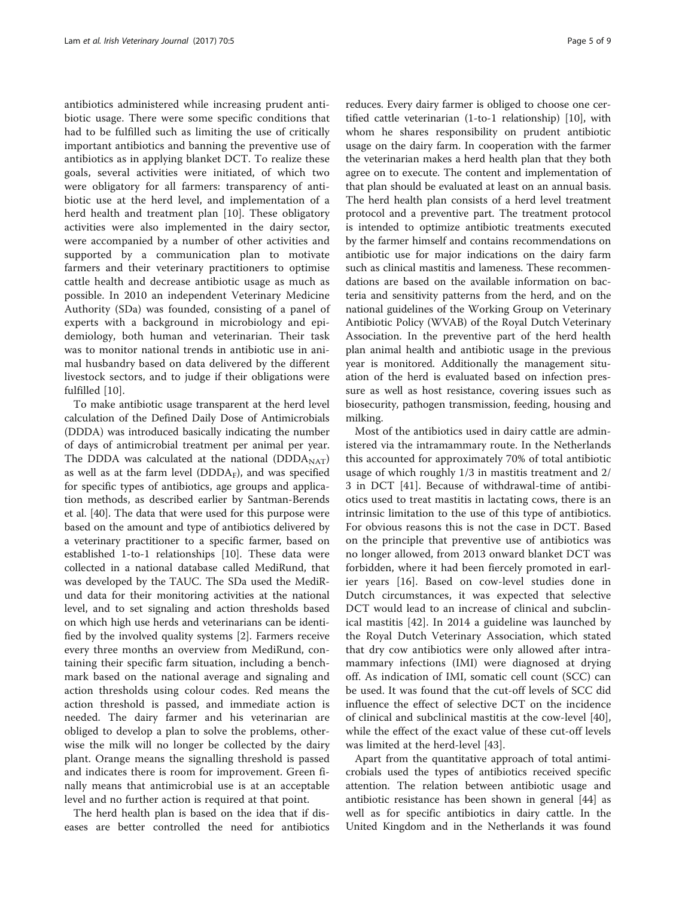antibiotics administered while increasing prudent antibiotic usage. There were some specific conditions that had to be fulfilled such as limiting the use of critically important antibiotics and banning the preventive use of antibiotics as in applying blanket DCT. To realize these goals, several activities were initiated, of which two were obligatory for all farmers: transparency of antibiotic use at the herd level, and implementation of a herd health and treatment plan [[10](#page-7-0)]. These obligatory activities were also implemented in the dairy sector, were accompanied by a number of other activities and supported by a communication plan to motivate farmers and their veterinary practitioners to optimise cattle health and decrease antibiotic usage as much as possible. In 2010 an independent Veterinary Medicine Authority (SDa) was founded, consisting of a panel of experts with a background in microbiology and epidemiology, both human and veterinarian. Their task was to monitor national trends in antibiotic use in animal husbandry based on data delivered by the different livestock sectors, and to judge if their obligations were fulfilled [[10\]](#page-7-0).

To make antibiotic usage transparent at the herd level calculation of the Defined Daily Dose of Antimicrobials (DDDA) was introduced basically indicating the number of days of antimicrobial treatment per animal per year. The DDDA was calculated at the national (DDDA<sub>NAT</sub>) as well as at the farm level  $(DDDA_F)$ , and was specified for specific types of antibiotics, age groups and application methods, as described earlier by Santman-Berends et al. [\[40](#page-7-0)]. The data that were used for this purpose were based on the amount and type of antibiotics delivered by a veterinary practitioner to a specific farmer, based on established 1-to-1 relationships [\[10\]](#page-7-0). These data were collected in a national database called MediRund, that was developed by the TAUC. The SDa used the MediRund data for their monitoring activities at the national level, and to set signaling and action thresholds based on which high use herds and veterinarians can be identified by the involved quality systems [[2\]](#page-7-0). Farmers receive every three months an overview from MediRund, containing their specific farm situation, including a benchmark based on the national average and signaling and action thresholds using colour codes. Red means the action threshold is passed, and immediate action is needed. The dairy farmer and his veterinarian are obliged to develop a plan to solve the problems, otherwise the milk will no longer be collected by the dairy plant. Orange means the signalling threshold is passed and indicates there is room for improvement. Green finally means that antimicrobial use is at an acceptable level and no further action is required at that point.

The herd health plan is based on the idea that if diseases are better controlled the need for antibiotics

reduces. Every dairy farmer is obliged to choose one certified cattle veterinarian (1-to-1 relationship) [\[10\]](#page-7-0), with whom he shares responsibility on prudent antibiotic usage on the dairy farm. In cooperation with the farmer the veterinarian makes a herd health plan that they both agree on to execute. The content and implementation of that plan should be evaluated at least on an annual basis. The herd health plan consists of a herd level treatment protocol and a preventive part. The treatment protocol is intended to optimize antibiotic treatments executed by the farmer himself and contains recommendations on antibiotic use for major indications on the dairy farm such as clinical mastitis and lameness. These recommendations are based on the available information on bacteria and sensitivity patterns from the herd, and on the national guidelines of the Working Group on Veterinary Antibiotic Policy (WVAB) of the Royal Dutch Veterinary Association. In the preventive part of the herd health plan animal health and antibiotic usage in the previous year is monitored. Additionally the management situation of the herd is evaluated based on infection pressure as well as host resistance, covering issues such as biosecurity, pathogen transmission, feeding, housing and milking.

Most of the antibiotics used in dairy cattle are administered via the intramammary route. In the Netherlands this accounted for approximately 70% of total antibiotic usage of which roughly 1/3 in mastitis treatment and 2/ 3 in DCT [[41\]](#page-7-0). Because of withdrawal-time of antibiotics used to treat mastitis in lactating cows, there is an intrinsic limitation to the use of this type of antibiotics. For obvious reasons this is not the case in DCT. Based on the principle that preventive use of antibiotics was no longer allowed, from 2013 onward blanket DCT was forbidden, where it had been fiercely promoted in earlier years [[16\]](#page-7-0). Based on cow-level studies done in Dutch circumstances, it was expected that selective DCT would lead to an increase of clinical and subclinical mastitis [\[42](#page-7-0)]. In 2014 a guideline was launched by the Royal Dutch Veterinary Association, which stated that dry cow antibiotics were only allowed after intramammary infections (IMI) were diagnosed at drying off. As indication of IMI, somatic cell count (SCC) can be used. It was found that the cut-off levels of SCC did influence the effect of selective DCT on the incidence of clinical and subclinical mastitis at the cow-level [\[40](#page-7-0)], while the effect of the exact value of these cut-off levels was limited at the herd-level [[43\]](#page-7-0).

Apart from the quantitative approach of total antimicrobials used the types of antibiotics received specific attention. The relation between antibiotic usage and antibiotic resistance has been shown in general [\[44\]](#page-7-0) as well as for specific antibiotics in dairy cattle. In the United Kingdom and in the Netherlands it was found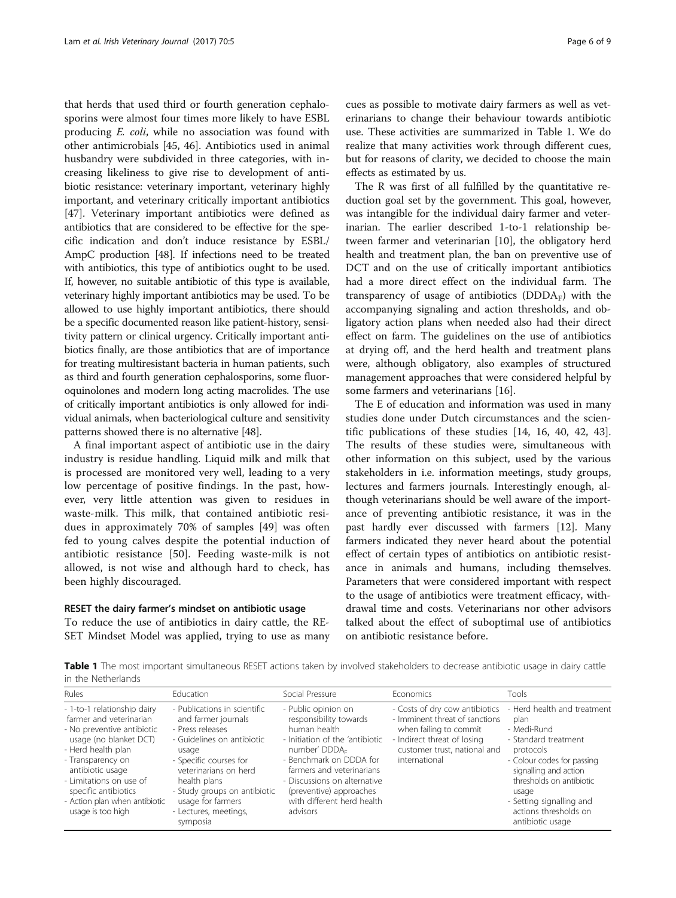<span id="page-5-0"></span>that herds that used third or fourth generation cephalosporins were almost four times more likely to have ESBL producing E. coli, while no association was found with other antimicrobials [[45](#page-7-0), [46\]](#page-7-0). Antibiotics used in animal husbandry were subdivided in three categories, with increasing likeliness to give rise to development of antibiotic resistance: veterinary important, veterinary highly important, and veterinary critically important antibiotics [[47\]](#page-8-0). Veterinary important antibiotics were defined as antibiotics that are considered to be effective for the specific indication and don't induce resistance by ESBL/ AmpC production [[48](#page-8-0)]. If infections need to be treated with antibiotics, this type of antibiotics ought to be used. If, however, no suitable antibiotic of this type is available, veterinary highly important antibiotics may be used. To be allowed to use highly important antibiotics, there should be a specific documented reason like patient-history, sensitivity pattern or clinical urgency. Critically important antibiotics finally, are those antibiotics that are of importance for treating multiresistant bacteria in human patients, such as third and fourth generation cephalosporins, some fluoroquinolones and modern long acting macrolides. The use of critically important antibiotics is only allowed for individual animals, when bacteriological culture and sensitivity patterns showed there is no alternative [\[48\]](#page-8-0).

A final important aspect of antibiotic use in the dairy industry is residue handling. Liquid milk and milk that is processed are monitored very well, leading to a very low percentage of positive findings. In the past, however, very little attention was given to residues in waste-milk. This milk, that contained antibiotic residues in approximately 70% of samples [[49\]](#page-8-0) was often fed to young calves despite the potential induction of antibiotic resistance [\[50](#page-8-0)]. Feeding waste-milk is not allowed, is not wise and although hard to check, has been highly discouraged.

### RESET the dairy farmer's mindset on antibiotic usage

To reduce the use of antibiotics in dairy cattle, the RE-SET Mindset Model was applied, trying to use as many cues as possible to motivate dairy farmers as well as veterinarians to change their behaviour towards antibiotic use. These activities are summarized in Table 1. We do realize that many activities work through different cues, but for reasons of clarity, we decided to choose the main effects as estimated by us.

The R was first of all fulfilled by the quantitative reduction goal set by the government. This goal, however, was intangible for the individual dairy farmer and veterinarian. The earlier described 1-to-1 relationship between farmer and veterinarian [\[10\]](#page-7-0), the obligatory herd health and treatment plan, the ban on preventive use of DCT and on the use of critically important antibiotics had a more direct effect on the individual farm. The transparency of usage of antibiotics ( $DDDA<sub>F</sub>$ ) with the accompanying signaling and action thresholds, and obligatory action plans when needed also had their direct effect on farm. The guidelines on the use of antibiotics at drying off, and the herd health and treatment plans were, although obligatory, also examples of structured management approaches that were considered helpful by some farmers and veterinarians [\[16](#page-7-0)].

The E of education and information was used in many studies done under Dutch circumstances and the scientific publications of these studies [\[14](#page-7-0), [16](#page-7-0), [40](#page-7-0), [42](#page-7-0), [43](#page-7-0)]. The results of these studies were, simultaneous with other information on this subject, used by the various stakeholders in i.e. information meetings, study groups, lectures and farmers journals. Interestingly enough, although veterinarians should be well aware of the importance of preventing antibiotic resistance, it was in the past hardly ever discussed with farmers [[12](#page-7-0)]. Many farmers indicated they never heard about the potential effect of certain types of antibiotics on antibiotic resistance in animals and humans, including themselves. Parameters that were considered important with respect to the usage of antibiotics were treatment efficacy, withdrawal time and costs. Veterinarians nor other advisors talked about the effect of suboptimal use of antibiotics on antibiotic resistance before.

Table 1 The most important simultaneous RESET actions taken by involved stakeholders to decrease antibiotic usage in dairy cattle in the Netherlands

| <b>Rules</b>                                                                                                                                                                                                                                                                           | <b>Education</b>                                                                                                                                                                                                                                                            | Social Pressure                                                                                                                                                                                                                                                                            | <b>F</b> conomics                                                                                                                                                          | Tools                                                                                                                                                                                                                                                        |
|----------------------------------------------------------------------------------------------------------------------------------------------------------------------------------------------------------------------------------------------------------------------------------------|-----------------------------------------------------------------------------------------------------------------------------------------------------------------------------------------------------------------------------------------------------------------------------|--------------------------------------------------------------------------------------------------------------------------------------------------------------------------------------------------------------------------------------------------------------------------------------------|----------------------------------------------------------------------------------------------------------------------------------------------------------------------------|--------------------------------------------------------------------------------------------------------------------------------------------------------------------------------------------------------------------------------------------------------------|
| - 1-to-1 relationship dairy<br>farmer and veterinarian<br>- No preventive antibiotic<br>usage (no blanket DCT)<br>- Herd health plan<br>- Transparency on<br>antibiotic usage<br>- Limitations on use of<br>specific antibiotics<br>- Action plan when antibiotic<br>usage is too high | - Publications in scientific<br>and farmer journals<br>- Press releases<br>- Guidelines on antibiotic<br>usage<br>- Specific courses for<br>veterinarians on herd<br>health plans<br>- Study groups on antibiotic<br>usage for farmers<br>- Lectures, meetings,<br>symposia | - Public opinion on<br>responsibility towards<br>human health<br>- Initiation of the 'antibiotic<br>number' DDDA <sub>F</sub><br>- Benchmark on DDDA for<br>farmers and veterinarians<br>- Discussions on alternative<br>(preventive) approaches<br>with different herd health<br>advisors | - Costs of dry cow antibiotics<br>- Imminent threat of sanctions<br>when failing to commit<br>- Indirect threat of losing<br>customer trust, national and<br>international | - Herd health and treatment<br>plan<br>- Medi-Rund<br>- Standard treatment<br>protocols<br>- Colour codes for passing<br>signalling and action<br>thresholds on antibiotic<br>usage<br>- Setting signalling and<br>actions thresholds on<br>antibiotic usage |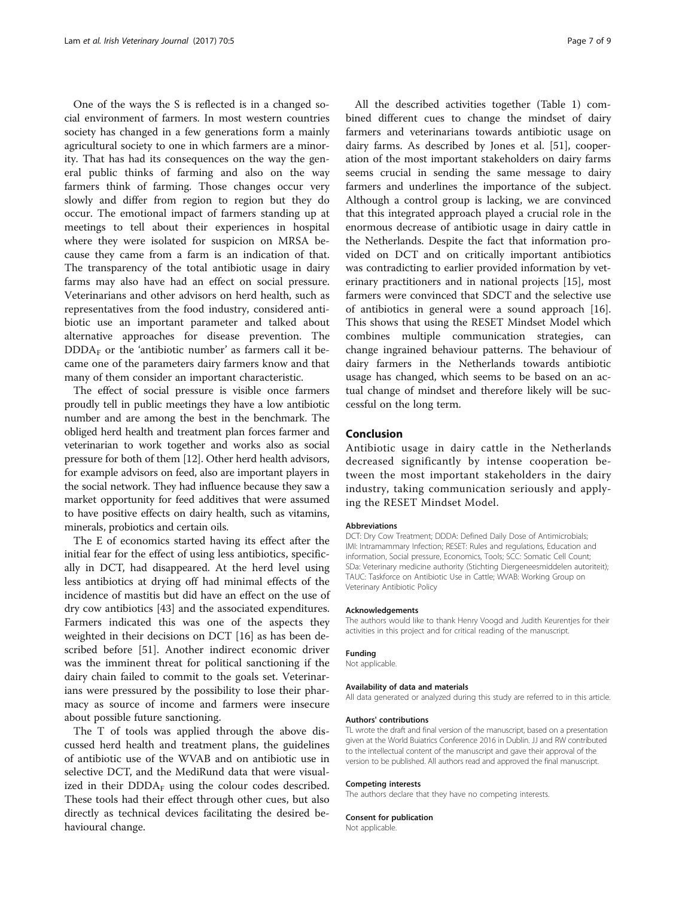One of the ways the S is reflected is in a changed social environment of farmers. In most western countries society has changed in a few generations form a mainly agricultural society to one in which farmers are a minority. That has had its consequences on the way the general public thinks of farming and also on the way farmers think of farming. Those changes occur very slowly and differ from region to region but they do occur. The emotional impact of farmers standing up at meetings to tell about their experiences in hospital where they were isolated for suspicion on MRSA because they came from a farm is an indication of that. The transparency of the total antibiotic usage in dairy farms may also have had an effect on social pressure. Veterinarians and other advisors on herd health, such as representatives from the food industry, considered antibiotic use an important parameter and talked about alternative approaches for disease prevention. The  $DDDA<sub>F</sub>$  or the 'antibiotic number' as farmers call it became one of the parameters dairy farmers know and that many of them consider an important characteristic.

The effect of social pressure is visible once farmers proudly tell in public meetings they have a low antibiotic number and are among the best in the benchmark. The obliged herd health and treatment plan forces farmer and veterinarian to work together and works also as social pressure for both of them [\[12\]](#page-7-0). Other herd health advisors, for example advisors on feed, also are important players in the social network. They had influence because they saw a market opportunity for feed additives that were assumed to have positive effects on dairy health, such as vitamins, minerals, probiotics and certain oils.

The E of economics started having its effect after the initial fear for the effect of using less antibiotics, specifically in DCT, had disappeared. At the herd level using less antibiotics at drying off had minimal effects of the incidence of mastitis but did have an effect on the use of dry cow antibiotics [\[43](#page-7-0)] and the associated expenditures. Farmers indicated this was one of the aspects they weighted in their decisions on DCT [[16\]](#page-7-0) as has been described before [\[51\]](#page-8-0). Another indirect economic driver was the imminent threat for political sanctioning if the dairy chain failed to commit to the goals set. Veterinarians were pressured by the possibility to lose their pharmacy as source of income and farmers were insecure about possible future sanctioning.

The T of tools was applied through the above discussed herd health and treatment plans, the guidelines of antibiotic use of the WVAB and on antibiotic use in selective DCT, and the MediRund data that were visualized in their  $DDDA<sub>F</sub>$  using the colour codes described. These tools had their effect through other cues, but also directly as technical devices facilitating the desired behavioural change.

All the described activities together (Table [1\)](#page-5-0) combined different cues to change the mindset of dairy farmers and veterinarians towards antibiotic usage on dairy farms. As described by Jones et al. [[51](#page-8-0)], cooperation of the most important stakeholders on dairy farms seems crucial in sending the same message to dairy farmers and underlines the importance of the subject. Although a control group is lacking, we are convinced that this integrated approach played a crucial role in the enormous decrease of antibiotic usage in dairy cattle in the Netherlands. Despite the fact that information provided on DCT and on critically important antibiotics was contradicting to earlier provided information by veterinary practitioners and in national projects [\[15](#page-7-0)], most farmers were convinced that SDCT and the selective use of antibiotics in general were a sound approach [\[16](#page-7-0)]. This shows that using the RESET Mindset Model which combines multiple communication strategies, can change ingrained behaviour patterns. The behaviour of dairy farmers in the Netherlands towards antibiotic usage has changed, which seems to be based on an actual change of mindset and therefore likely will be successful on the long term.

# Conclusion

Antibiotic usage in dairy cattle in the Netherlands decreased significantly by intense cooperation between the most important stakeholders in the dairy industry, taking communication seriously and applying the RESET Mindset Model.

#### Abbreviations

DCT: Dry Cow Treatment; DDDA: Defined Daily Dose of Antimicrobials; IMI: Intramammary Infection; RESET: Rules and regulations, Education and information, Social pressure, Economics, Tools; SCC: Somatic Cell Count; SDa: Veterinary medicine authority (Stichting Diergeneesmiddelen autoriteit); TAUC: Taskforce on Antibiotic Use in Cattle; WVAB: Working Group on Veterinary Antibiotic Policy

#### Acknowledgements

The authors would like to thank Henry Voogd and Judith Keurentjes for their activities in this project and for critical reading of the manuscript.

#### Funding

Not applicable.

#### Availability of data and materials

All data generated or analyzed during this study are referred to in this article.

#### Authors' contributions

TL wrote the draft and final version of the manuscript, based on a presentation given at the World Buiatrics Conference 2016 in Dublin. JJ and RW contributed to the intellectual content of the manuscript and gave their approval of the version to be published. All authors read and approved the final manuscript.

#### Competing interests

The authors declare that they have no competing interests.

#### Consent for publication

Not applicable.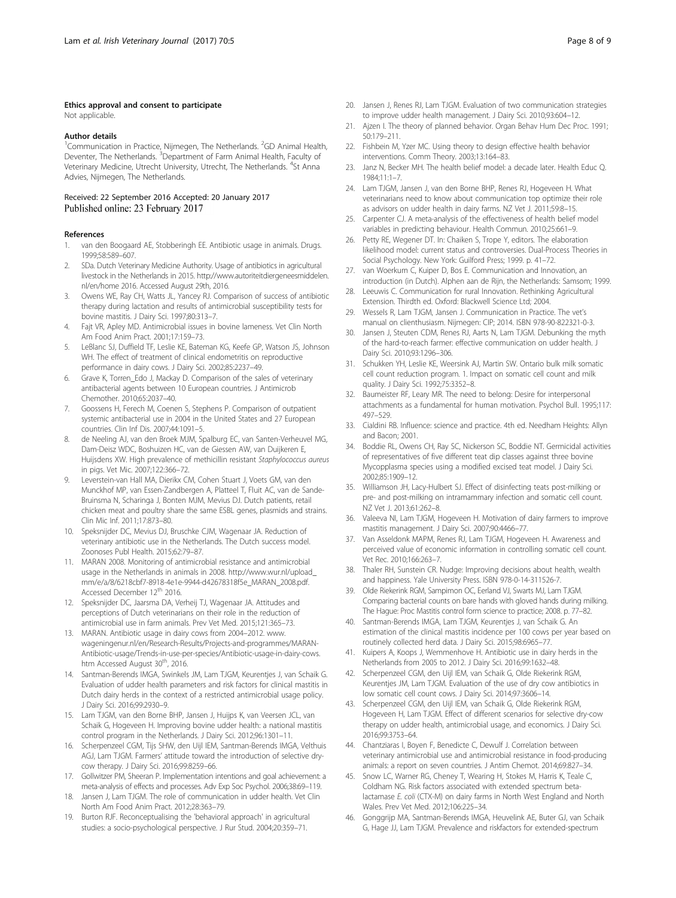#### <span id="page-7-0"></span>Ethics approval and consent to participate

Not applicable.

# Author details

<sup>1</sup> Communication in Practice, Nijmegen, The Netherlands. <sup>2</sup>GD Animal Health, Deventer, The Netherlands. <sup>3</sup>Department of Farm Animal Health, Faculty of Veterinary Medicine, Utrecht University, Utrecht, The Netherlands. <sup>4</sup>St Anna Advies, Nijmegen, The Netherlands.

## Received: 22 September 2016 Accepted: 20 January 2017 Published online: 23 February 2017

#### References

- van den Boogaard AE, Stobberingh EE. Antibiotic usage in animals. Drugs. 1999;58:589–607.
- 2. SDa. Dutch Veterinary Medicine Authority. Usage of antibiotics in agricultural livestock in the Netherlands in 2015. [http://www.autoriteitdiergeneesmiddelen.](http://www.autoriteitdiergeneesmiddelen.nl/en/home) [nl/en/home](http://www.autoriteitdiergeneesmiddelen.nl/en/home) 2016. Accessed August 29th, 2016.
- Owens WE, Ray CH, Watts JL, Yancey RJ. Comparison of success of antibiotic therapy during lactation and results of antimicrobial susceptibility tests for bovine mastitis. J Dairy Sci. 1997;80:313–7.
- 4. Fajt VR, Apley MD. Antimicrobial issues in bovine lameness. Vet Clin North Am Food Anim Pract. 2001;17:159–73.
- 5. LeBlanc SJ, Duffield TF, Leslie KE, Bateman KG, Keefe GP, Watson JS, Johnson WH. The effect of treatment of clinical endometritis on reproductive performance in dairy cows. J Dairy Sci. 2002;85:2237–49.
- 6. Grave K, Torren\_Edo J, Mackay D. Comparison of the sales of veterinary antibacterial agents between 10 European countries. J Antimicrob Chemother. 2010;65:2037–40.
- 7. Goossens H, Ferech M, Coenen S, Stephens P. Comparison of outpatient systemic antibacterial use in 2004 in the United States and 27 European countries. Clin Inf Dis. 2007;44:1091–5.
- de Neeling AJ, van den Broek MJM, Spalburg EC, van Santen-Verheuvel MG, Dam-Deisz WDC, Boshuizen HC, van de Giessen AW, van Duijkeren E, Huijsdens XW. High prevalence of methicillin resistant Staphylococcus aureus in pigs. Vet Mic. 2007;122:366–72.
- 9. Leverstein-van Hall MA, Dierikx CM, Cohen Stuart J, Voets GM, van den Munckhof MP, van Essen-Zandbergen A, Platteel T, Fluit AC, van de Sande-Bruinsma N, Scharinga J, Bonten MJM, Mevius DJ. Dutch patients, retail chicken meat and poultry share the same ESBL genes, plasmids and strains. Clin Mic Inf. 2011;17:873–80.
- 10. Speksnijder DC, Mevius DJ, Bruschke CJM, Wagenaar JA. Reduction of veterinary antibiotic use in the Netherlands. The Dutch success model. Zoonoses Publ Health. 2015;62:79–87.
- 11. MARAN 2008. Monitoring of antimicrobial resistance and antimicrobial usage in the Netherlands in animals in 2008. [http://www.wur.nl/upload\\_](http://www.wur.nl/upload_mm/e/a/8/6218cbf7-8918-4e1e-9944-d42678318f5e_MARAN_2008.pdf) [mm/e/a/8/6218cbf7-8918-4e1e-9944-d42678318f5e\\_MARAN\\_2008.pdf.](http://www.wur.nl/upload_mm/e/a/8/6218cbf7-8918-4e1e-9944-d42678318f5e_MARAN_2008.pdf) Accessed December 12<sup>th</sup> 2016.
- 12. Speksnijder DC, Jaarsma DA, Verheij TJ, Wagenaar JA. Attitudes and perceptions of Dutch veterinarians on their role in the reduction of antimicrobial use in farm animals. Prev Vet Med. 2015;121:365–73.
- 13. MARAN. Antibiotic usage in dairy cows from 2004–2012. [www.](http://www.wageningenur.nl/en/Research-Results/Projects-and-programmes/MARAN-Antibiotic-usage/Trends-in-use-per-species/Antibiotic-usage-in-dairy-cows.htm) [wageningenur.nl/en/Research-Results/Projects-and-programmes/MARAN-](http://www.wageningenur.nl/en/Research-Results/Projects-and-programmes/MARAN-Antibiotic-usage/Trends-in-use-per-species/Antibiotic-usage-in-dairy-cows.htm)[Antibiotic-usage/Trends-in-use-per-species/Antibiotic-usage-in-dairy-cows.](http://www.wageningenur.nl/en/Research-Results/Projects-and-programmes/MARAN-Antibiotic-usage/Trends-in-use-per-species/Antibiotic-usage-in-dairy-cows.htm) [htm](http://www.wageningenur.nl/en/Research-Results/Projects-and-programmes/MARAN-Antibiotic-usage/Trends-in-use-per-species/Antibiotic-usage-in-dairy-cows.htm) Accessed August 30<sup>th</sup>, 2016.
- 14. Santman-Berends IMGA, Swinkels JM, Lam TJGM, Keurentjes J, van Schaik G. Evaluation of udder health parameters and risk factors for clinical mastitis in Dutch dairy herds in the context of a restricted antimicrobial usage policy. J Dairy Sci. 2016;99:2930–9.
- 15. Lam TJGM, van den Borne BHP, Jansen J, Huijps K, van Veersen JCL, van Schaik G, Hogeveen H. Improving bovine udder health: a national mastitis control program in the Netherlands. J Dairy Sci. 2012;96:1301–11.
- 16. Scherpenzeel CGM, Tijs SHW, den Uijl IEM, Santman-Berends IMGA, Velthuis AGJ, Lam TJGM. Farmers' attitude toward the introduction of selective drycow therapy. J Dairy Sci. 2016;99:8259–66.
- 17. Gollwitzer PM, Sheeran P. Implementation intentions and goal achievement: a meta-analysis of effects and processes. Adv Exp Soc Psychol. 2006;38:69–119.
- 18. Jansen J, Lam TJGM. The role of communication in udder health. Vet Clin North Am Food Anim Pract. 2012;28:363–79.
- 19. Burton RJF. Reconceptualising the 'behavioral approach' in agricultural studies: a socio-psychological perspective. J Rur Stud. 2004;20:359–71.
- 20. Jansen J, Renes RJ, Lam TJGM. Evaluation of two communication strategies to improve udder health management. J Dairy Sci. 2010;93:604–12.
- 21. Aizen I. The theory of planned behavior. Organ Behav Hum Dec Proc. 1991: 50:179–211.
- 22. Fishbein M, Yzer MC. Using theory to design effective health behavior interventions. Comm Theory. 2003;13:164–83.
- 23. Janz N, Becker MH. The health belief model: a decade later. Health Educ Q. 1984;11:1–7.
- 24. Lam TJGM, Jansen J, van den Borne BHP, Renes RJ, Hogeveen H. What veterinarians need to know about communication top optimize their role as advisors on udder health in dairy farms. NZ Vet J. 2011;59:8–15.
- 25. Carpenter CJ. A meta-analysis of the effectiveness of health belief model variables in predicting behaviour. Health Commun. 2010;25:661–9.
- 26. Petty RE, Wegener DT. In: Chaiken S, Trope Y, editors. The elaboration likelihood model: current status and controversies. Dual-Process Theories in Social Psychology. New York: Guilford Press; 1999. p. 41–72.
- 27. van Woerkum C, Kuiper D, Bos E. Communication and Innovation, an introduction (in Dutch). Alphen aan de Rijn, the Netherlands: Samsom; 1999.
- 28. Leeuwis C. Communication for rural Innovation. Rethinking Agricultural Extension. Thirdth ed. Oxford: Blackwell Science Ltd; 2004.
- 29. Wessels R, Lam TJGM, Jansen J. Communication in Practice. The vet's manual on clienthusiasm. Nijmegen: CIP; 2014. ISBN 978-90-822321-0-3.
- 30. Jansen J, Steuten CDM, Renes RJ, Aarts N, Lam TJGM. Debunking the myth of the hard-to-reach farmer: effective communication on udder health. J Dairy Sci. 2010;93:1296–306.
- 31. Schukken YH, Leslie KE, Weersink AJ, Martin SW. Ontario bulk milk somatic cell count reduction program. 1. Impact on somatic cell count and milk quality. J Dairy Sci. 1992;75:3352–8.
- Baumeister RF, Leary MR. The need to belong: Desire for interpersonal attachments as a fundamental for human motivation. Psychol Bull. 1995;117: 497–529.
- 33. Cialdini RB. Influence: science and practice. 4th ed. Needham Heights: Allyn and Bacon; 2001.
- 34. Boddie RL, Owens CH, Ray SC, Nickerson SC, Boddie NT. Germicidal activities of representatives of five different teat dip classes against three bovine Mycopplasma species using a modified excised teat model. J Dairy Sci. 2002;85:1909–12.
- 35. Williamson JH, Lacy-Hulbert SJ. Effect of disinfecting teats post-milking or pre- and post-milking on intramammary infection and somatic cell count. NZ Vet J. 2013;61:262–8.
- 36. Valeeva NI, Lam TJGM, Hogeveen H. Motivation of dairy farmers to improve mastitis management. J Dairy Sci. 2007;90:4466–77.
- 37. Van Asseldonk MAPM, Renes RJ, Lam TJGM, Hogeveen H. Awareness and perceived value of economic information in controlling somatic cell count. Vet Rec. 2010;166:263–7.
- 38. Thaler RH, Sunstein CR. Nudge: Improving decisions about health, wealth and happiness. Yale University Press. ISBN 978-0-14-311526-7.
- 39. Olde Riekerink RGM, Sampimon OC, Eerland VJ, Swarts MJ, Lam TJGM. Comparing bacterial counts on bare hands with gloved hands during milking. The Hague: Proc Mastitis control form science to practice; 2008. p. 77–82.
- 40. Santman-Berends IMGA, Lam TJGM, Keurentjes J, van Schaik G. An estimation of the clinical mastitis incidence per 100 cows per year based on routinely collected herd data. J Dairy Sci. 2015;98:6965–77.
- 41. Kuipers A, Koops J, Wemmenhove H. Antibiotic use in dairy herds in the Netherlands from 2005 to 2012. J Dairy Sci. 2016;99:1632–48.
- 42. Scherpenzeel CGM, den Uijl IEM, van Schaik G, Olde Riekerink RGM, Keurentjes JM, Lam TJGM. Evaluation of the use of dry cow antibiotics in low somatic cell count cows. J Dairy Sci. 2014;97:3606–14.
- 43. Scherpenzeel CGM, den Uijl IEM, van Schaik G, Olde Riekerink RGM, Hogeveen H, Lam TJGM. Effect of different scenarios for selective dry-cow therapy on udder health, antimicrobial usage, and economics. J Dairy Sci. 2016;99:3753–64.
- 44. Chantziaras I, Boyen F, Benedicte C, Dewulf J. Correlation between veterinary antimicrobial use and antimicrobial resistance in food-producing animals: a report on seven countries. J Antim Chemot. 2014;69:827–34.
- 45. Snow LC, Warner RG, Cheney T, Wearing H, Stokes M, Harris K, Teale C, Coldham NG. Risk factors associated with extended spectrum betalactamase E. coli (CTX-M) on dairy farms in North West England and North Wales. Prev Vet Med. 2012;106:225–34.
- 46. Gonggrijp MA, Santman-Berends IMGA, Heuvelink AE, Buter GJ, van Schaik G, Hage JJ, Lam TJGM. Prevalence and riskfactors for extended-spectrum